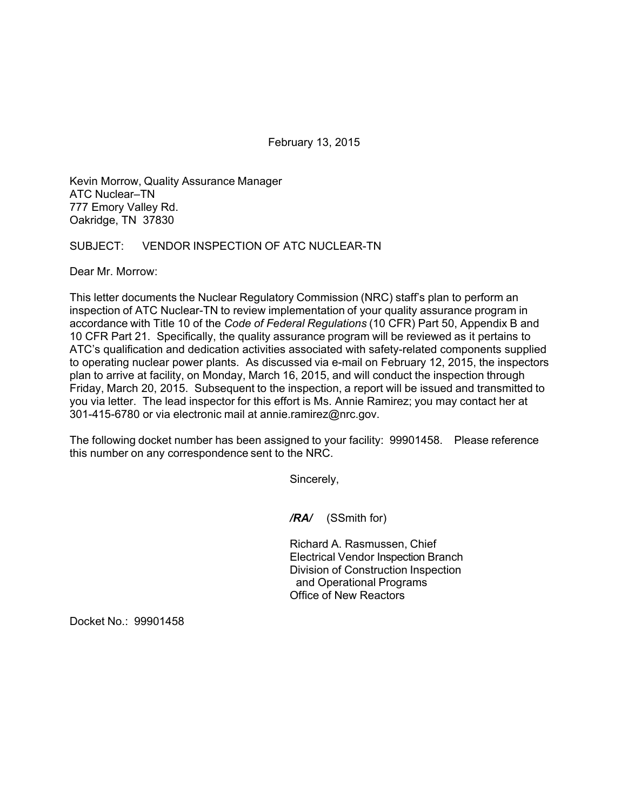February 13, 2015

Kevin Morrow, Quality Assurance Manager ATC Nuclear–TN 777 Emory Valley Rd. Oakridge, TN 37830

SUBJECT: VENDOR INSPECTION OF ATC NUCLEAR-TN

Dear Mr. Morrow:

This letter documents the Nuclear Regulatory Commission (NRC) staff's plan to perform an inspection of ATC Nuclear-TN to review implementation of your quality assurance program in accordance with Title 10 of the *Code of Federal Regulations* (10 CFR) Part 50, Appendix B and 10 CFR Part 21. Specifically, the quality assurance program will be reviewed as it pertains to ATC's qualification and dedication activities associated with safety-related components supplied to operating nuclear power plants. As discussed via e-mail on February 12, 2015, the inspectors plan to arrive at facility, on Monday, March 16, 2015, and will conduct the inspection through Friday, March 20, 2015. Subsequent to the inspection, a report will be issued and transmitted to you via letter. The lead inspector for this effort is Ms. Annie Ramirez; you may contact her at 301-415-6780 or via electronic mail at annie.ramirez@nrc.gov.

The following docket number has been assigned to your facility: 99901458. Please reference this number on any correspondence sent to the NRC.

Sincerely,

*/RA/* (SSmith for)

Richard A. Rasmussen, Chief Electrical Vendor Inspection Branch Division of Construction Inspection and Operational Programs Office of New Reactors

Docket No.: 99901458